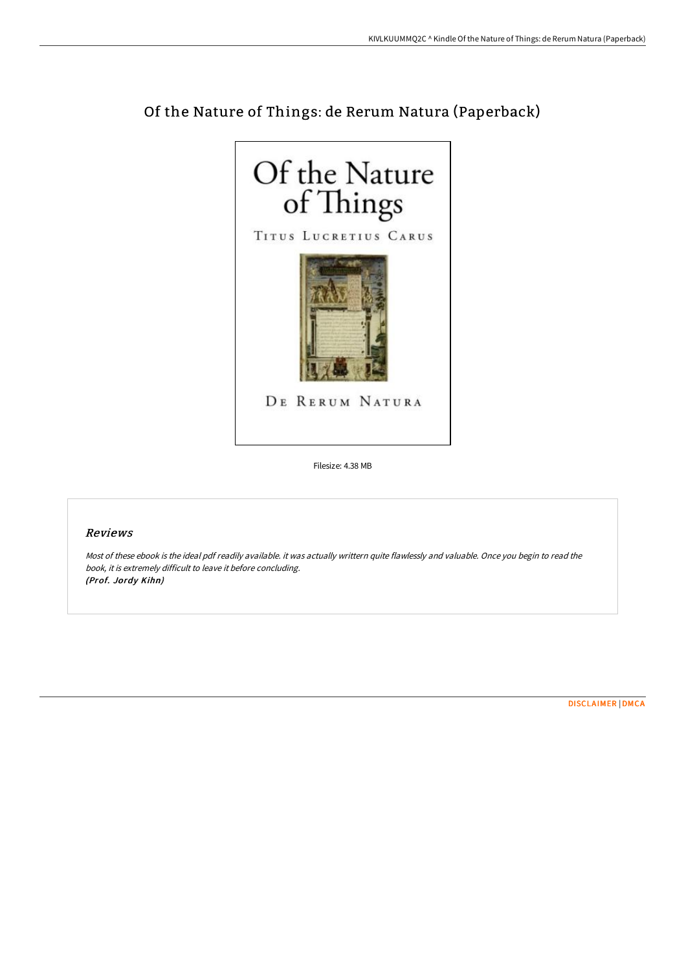

# Of the Nature of Things: de Rerum Natura (Paperback)

Filesize: 4.38 MB

## Reviews

Most of these ebook is the ideal pdf readily available. it was actually writtern quite flawlessly and valuable. Once you begin to read the book, it is extremely difficult to leave it before concluding. (Prof. Jordy Kihn)

[DISCLAIMER](http://techno-pub.tech/disclaimer.html) | [DMCA](http://techno-pub.tech/dmca.html)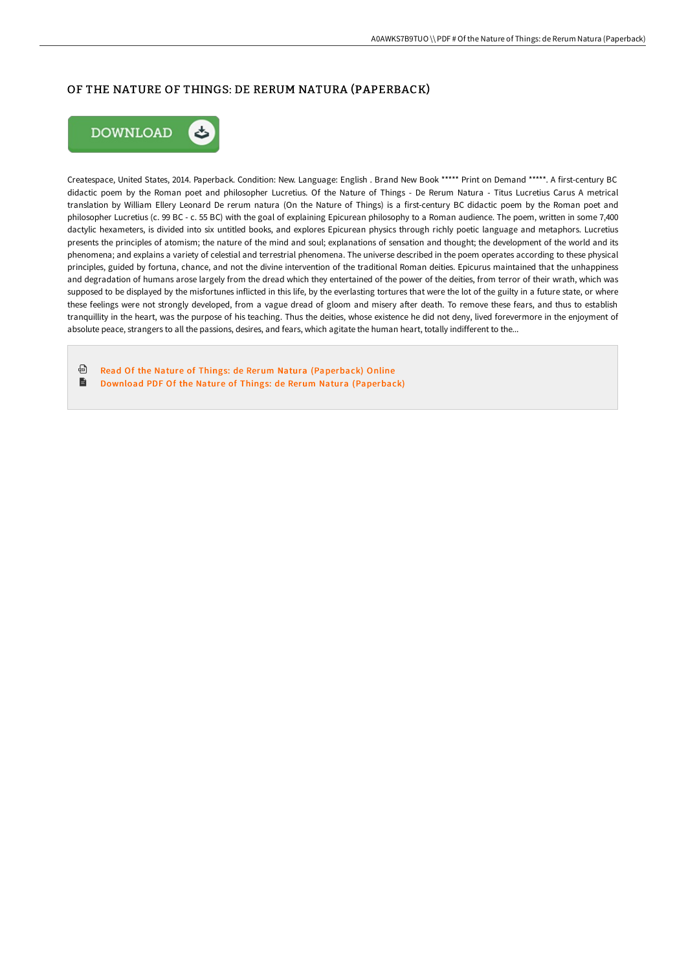# OF THE NATURE OF THINGS: DE RERUM NATURA (PAPERBACK)



Createspace, United States, 2014. Paperback. Condition: New. Language: English . Brand New Book \*\*\*\*\* Print on Demand \*\*\*\*\*. A first-century BC didactic poem by the Roman poet and philosopher Lucretius. Of the Nature of Things - De Rerum Natura - Titus Lucretius Carus A metrical translation by William Ellery Leonard De rerum natura (On the Nature of Things) is a first-century BC didactic poem by the Roman poet and philosopher Lucretius (c. 99 BC - c. 55 BC) with the goal of explaining Epicurean philosophy to a Roman audience. The poem, written in some 7,400 dactylic hexameters, is divided into six untitled books, and explores Epicurean physics through richly poetic language and metaphors. Lucretius presents the principles of atomism; the nature of the mind and soul; explanations of sensation and thought; the development of the world and its phenomena; and explains a variety of celestial and terrestrial phenomena. The universe described in the poem operates according to these physical principles, guided by fortuna, chance, and not the divine intervention of the traditional Roman deities. Epicurus maintained that the unhappiness and degradation of humans arose largely from the dread which they entertained of the power of the deities, from terror of their wrath, which was supposed to be displayed by the misfortunes inflicted in this life, by the everlasting tortures that were the lot of the guilty in a future state, or where these feelings were not strongly developed, from a vague dread of gloom and misery after death. To remove these fears, and thus to establish tranquillity in the heart, was the purpose of his teaching. Thus the deities, whose existence he did not deny, lived forevermore in the enjoyment of absolute peace, strangers to all the passions, desires, and fears, which agitate the human heart, totally indifferent to the...

⊕ Read Of the Nature of Things: de Rerum Natura [\(Paperback\)](http://techno-pub.tech/of-the-nature-of-things-de-rerum-natura-paperbac.html) Online  $\blacksquare$ Download PDF Of the Nature of Things: de Rerum Natura [\(Paperback\)](http://techno-pub.tech/of-the-nature-of-things-de-rerum-natura-paperbac.html)